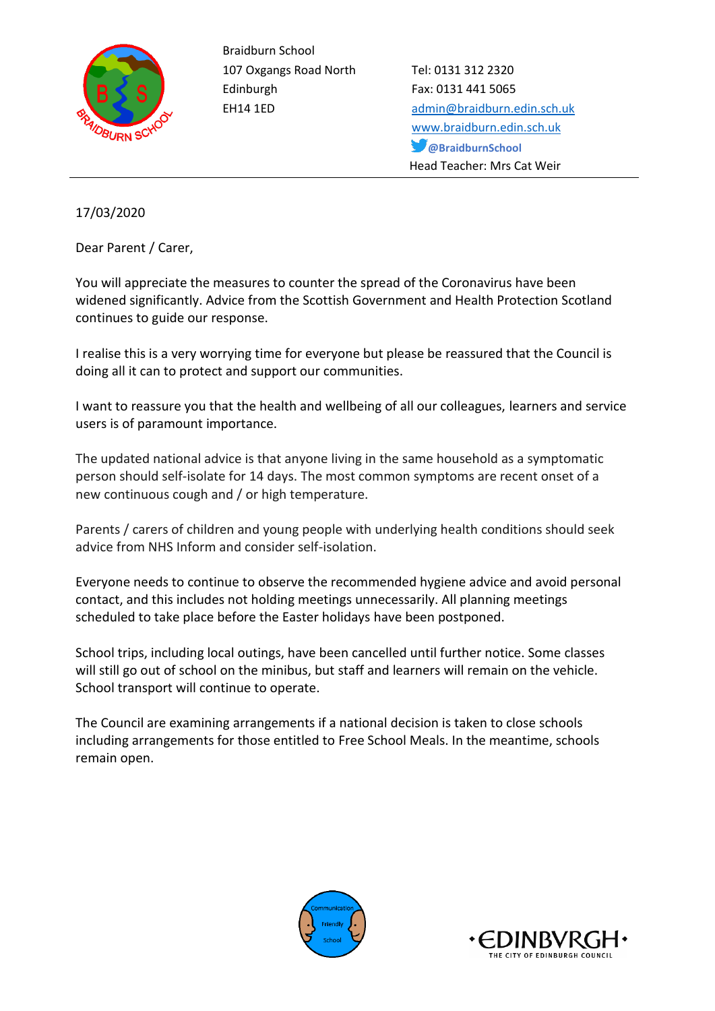

Braidburn School 107 Oxgangs Road North Tel: 0131 312 2320 Edinburgh Fax: 0131 441 5065

EH14 1ED [admin@braidburn.edin.sch.uk](mailto:admin@braidburn.edin.sch.uk) [www.braidburn.edin.sch.uk](http://www.braidburn.edin.sch.uk/) **@BraidburnSchool** Head Teacher: Mrs Cat Weir

17/03/2020

Dear Parent / Carer,

You will appreciate the measures to counter the spread of the Coronavirus have been widened significantly. Advice from the Scottish Government and Health Protection Scotland continues to guide our response.

I realise this is a very worrying time for everyone but please be reassured that the Council is doing all it can to protect and support our communities.

I want to reassure you that the health and wellbeing of all our colleagues, learners and service users is of paramount importance.

The updated national advice is that anyone living in the same household as a symptomatic person should self-isolate for 14 days. The most common symptoms are recent onset of a new continuous cough and / or high temperature.

Parents / carers of children and young people with underlying health conditions should seek advice from NHS Inform and consider self-isolation.

Everyone needs to continue to observe the recommended hygiene advice and avoid personal contact, and this includes not holding meetings unnecessarily. All planning meetings scheduled to take place before the Easter holidays have been postponed.

School trips, including local outings, have been cancelled until further notice. Some classes will still go out of school on the minibus, but staff and learners will remain on the vehicle. School transport will continue to operate.

The Council are examining arrangements if a national decision is taken to close schools including arrangements for those entitled to Free School Meals. In the meantime, schools remain open.